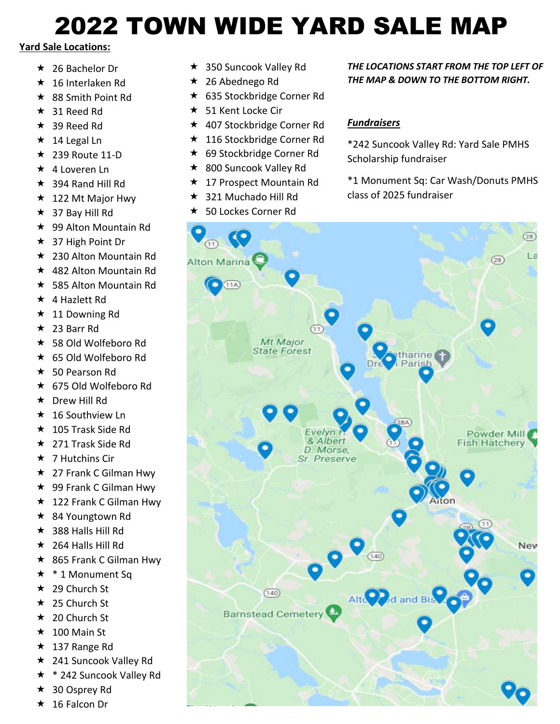## 2022 TOWN WIDE YARD SALE MAP

### **Yard Sale Locations:**

- $\star$  26 Bachelor Dr
- $\star$  16 Interlaken Rd
- $\star$  88 Smith Point Rd
- $\star$  31 Reed Rd
- $\star$  39 Reed Rd
- $\star$  14 Legal Ln
- $\star$  239 Route 11-D
- $\star$  4 Loveren Ln
- $\star$  394 Rand Hill Rd
- $\star$  122 Mt Major Hwy
- $\star$  37 Bay Hill Rd
- **★ 99 Alton Mountain Rd**
- $\star$  37 High Point Dr
- **★ 230 Alton Mountain Rd**
- $\star$  482 Alton Mountain Rd
- **★ 585 Alton Mountain Rd**
- $\star$  4 Hazlett Rd
- $\star$  11 Downing Rd
- $\star$  23 Barr Rd
- **★ 58 Old Wolfeboro Rd**
- 65 Old Wolfeboro Rd
- $\star$  50 Pearson Rd
- 675 Old Wolfeboro Rd
- **★** Drew Hill Rd
- $\star$  16 Southview Ln
- $\star$  105 Trask Side Rd
- $\star$  271 Trask Side Rd
- $\star$  7 Hutchins Cir
- $\star$  27 Frank C Gilman Hwy
- $\star$  99 Frank C Gilman Hwy
- $\star$  122 Frank C Gilman Hwy
- $\star$  84 Youngtown Rd
- $\star$  388 Halls Hill Rd
- $\star$  264 Halls Hill Rd
- $\star$  865 Frank C Gilman Hwy
- **★ \*1 Monument Sq**
- $\star$  29 Church St
- $\star$  25 Church St
- $\star$  20 Church St
- $\star$  100 Main St
- $\star$  137 Range Rd
- $\star$  241 Suncook Valley Rd
- **★ \* 242 Suncook Valley Rd**
- 30 Osprey Rd
- $\star$  16 Falcon Dr
- **★ 350 Suncook Valley Rd**
- $\star$  26 Abednego Rd
- **★ 635 Stockbridge Corner Rd**
- **★ 51 Kent Locke Cir**
- **★ 407 Stockbridge Corner Rd**
- **★ 116 Stockbridge Corner Rd**
- ★ 69 Stockbridge Corner Rd
- **★ 800 Suncook Valley Rd**
- **★ 17 Prospect Mountain Rd**
- $\star$  321 Muchado Hill Rd
- **★ 50 Lockes Corner Rd**

#### *THE LOCATIONS START FROM THE TOP LEFT OF THE MAP & DOWN TO THE BOTTOM RIGHT.*

### *Fundraisers*

\*242 Suncook Valley Rd: Yard Sale PMHS Scholarship fundraiser

\*1 Monument Sq: Car Wash/Donuts PMHS class of 2025 fundraiser